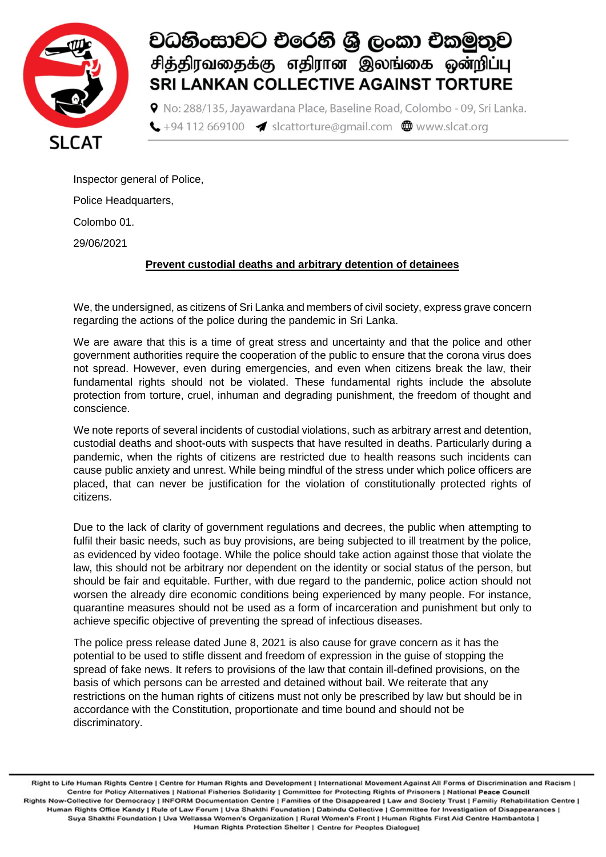

## වධනිංසාවට එරෙනි ශී ලංකා එකමුතුව சித்திரவதைக்கு எதிரான இலங்கை ஒன்றிப்பு **SRI LANKAN COLLECTIVE AGAINST TORTURE**

**9** No: 288/135, Javawardana Place, Baseline Road, Colombo - 09, Sri Lanka.  $\bigcup$  +94 112 669100  $\blacktriangleleft$  slcattorture@gmail.com  $\bigoplus$  www.slcat.org

Inspector general of Police,

Police Headquarters,

Colombo 01.

29/06/2021

#### **Prevent custodial deaths and arbitrary detention of detainees**

We, the undersigned, as citizens of Sri Lanka and members of civil society, express grave concern regarding the actions of the police during the pandemic in Sri Lanka.

We are aware that this is a time of great stress and uncertainty and that the police and other government authorities require the cooperation of the public to ensure that the corona virus does not spread. However, even during emergencies, and even when citizens break the law, their fundamental rights should not be violated. These fundamental rights include the absolute protection from torture, cruel, inhuman and degrading punishment, the freedom of thought and conscience.

We note reports of several incidents of custodial violations, such as arbitrary arrest and detention, custodial deaths and shoot-outs with suspects that have resulted in deaths. Particularly during a pandemic, when the rights of citizens are restricted due to health reasons such incidents can cause public anxiety and unrest. While being mindful of the stress under which police officers are placed, that can never be justification for the violation of constitutionally protected rights of citizens.

Due to the lack of clarity of government regulations and decrees, the public when attempting to fulfil their basic needs, such as buy provisions, are being subjected to ill treatment by the police, as evidenced by video footage. While the police should take action against those that violate the law, this should not be arbitrary nor dependent on the identity or social status of the person, but should be fair and equitable. Further, with due regard to the pandemic, police action should not worsen the already dire economic conditions being experienced by many people. For instance, quarantine measures should not be used as a form of incarceration and punishment but only to achieve specific objective of preventing the spread of infectious diseases.

The police press release dated June 8, 2021 is also cause for grave concern as it has the potential to be used to stifle dissent and freedom of expression in the guise of stopping the spread of fake news. It refers to provisions of the law that contain ill-defined provisions, on the basis of which persons can be arrested and detained without bail. We reiterate that any restrictions on the human rights of citizens must not only be prescribed by law but should be in accordance with the Constitution, proportionate and time bound and should not be discriminatory.

Right to Life Human Rights Centre | Centre for Human Rights and Development | International Movement Against All Forms of Discrimination and Racism | Centre for Policy Alternatives | National Fisheries Solidarity | Committee for Protecting Rights of Prisoners | National Peace Council Rights Now-Collective for Democracy | INFORM Documentation Centre | Families of the Disappeared | Law and Society Trust | Familiy Rehabilitation Centre | Human Rights Office Kandy | Rule of Law Forum | Uva Shakthi Foundation | Dabindu Collective | Committee for Investigation of Disappearances | Suya Shakthi Foundation | Uva Wellassa Women's Organization | Rural Women's Front | Human Rights First Aid Centre Hambantota | Human Rights Protection Shelter | Centre for Peoples Dialogue]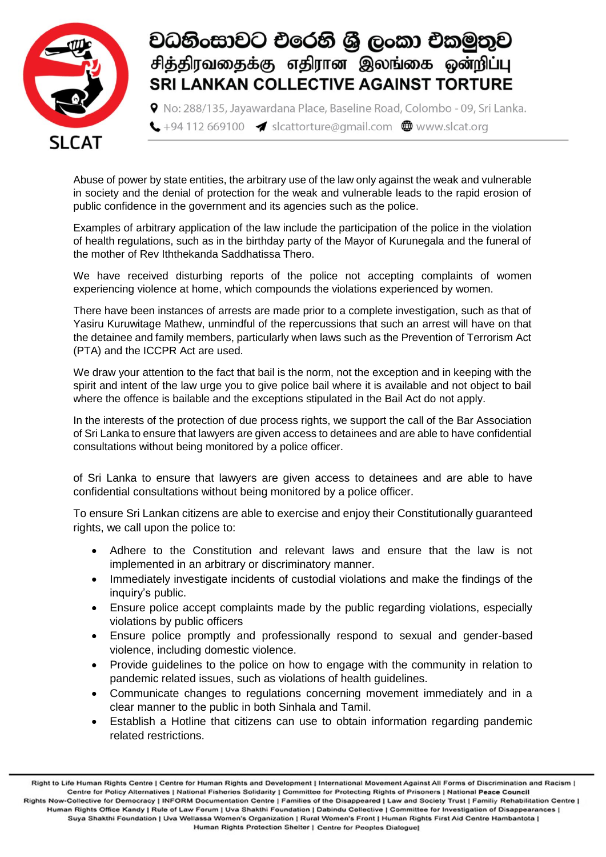

## වධනිංසාවට එරෙනි ශී ලංකා එකමුතුව சித்திரவதைக்கு எதிரான இலங்கை ஒன்றிப்பு **SRI LANKAN COLLECTIVE AGAINST TORTURE**

9 No: 288/135, Javawardana Place, Baseline Road, Colombo - 09, Sri Lanka.  $\bigcup$  +94 112 669100  $\blacktriangleleft$  slcattorture@gmail.com  $\bigoplus$  www.slcat.org

Abuse of power by state entities, the arbitrary use of the law only against the weak and vulnerable in society and the denial of protection for the weak and vulnerable leads to the rapid erosion of public confidence in the government and its agencies such as the police.

Examples of arbitrary application of the law include the participation of the police in the violation of health regulations, such as in the birthday party of the Mayor of Kurunegala and the funeral of the mother of Rev Iththekanda Saddhatissa Thero.

We have received disturbing reports of the police not accepting complaints of women experiencing violence at home, which compounds the violations experienced by women.

There have been instances of arrests are made prior to a complete investigation, such as that of Yasiru Kuruwitage Mathew, unmindful of the repercussions that such an arrest will have on that the detainee and family members, particularly when laws such as the Prevention of Terrorism Act (PTA) and the ICCPR Act are used.

We draw your attention to the fact that bail is the norm, not the exception and in keeping with the spirit and intent of the law urge you to give police bail where it is available and not object to bail where the offence is bailable and the exceptions stipulated in the Bail Act do not apply.

In the interests of the protection of due process rights, we support the call of the Bar Association of Sri Lanka to ensure that lawyers are given access to detainees and are able to have confidential consultations without being monitored by a police officer.

of Sri Lanka to ensure that lawyers are given access to detainees and are able to have confidential consultations without being monitored by a police officer.

To ensure Sri Lankan citizens are able to exercise and enjoy their Constitutionally guaranteed rights, we call upon the police to:

- Adhere to the Constitution and relevant laws and ensure that the law is not implemented in an arbitrary or discriminatory manner.
- Immediately investigate incidents of custodial violations and make the findings of the inquiry's public.
- Ensure police accept complaints made by the public regarding violations, especially violations by public officers
- Ensure police promptly and professionally respond to sexual and gender-based violence, including domestic violence.
- Provide guidelines to the police on how to engage with the community in relation to pandemic related issues, such as violations of health guidelines.
- Communicate changes to regulations concerning movement immediately and in a clear manner to the public in both Sinhala and Tamil.
- Establish a Hotline that citizens can use to obtain information regarding pandemic related restrictions.

Right to Life Human Rights Centre | Centre for Human Rights and Development | International Movement Against All Forms of Discrimination and Racism | Centre for Policy Alternatives | National Fisheries Solidarity | Committee for Protecting Rights of Prisoners | National Peace Council Rights Now-Collective for Democracy | INFORM Documentation Centre | Families of the Disappeared | Law and Society Trust | Familiy Rehabilitation Centre | Human Rights Office Kandy | Rule of Law Forum | Uva Shakthi Foundation | Dabindu Collective | Committee for Investigation of Disappearances | Suya Shakthi Foundation | Uva Wellassa Women's Organization | Rural Women's Front | Human Rights First Aid Centre Hambantota | Human Rights Protection Shelter | Centre for Peoples Dialogue]